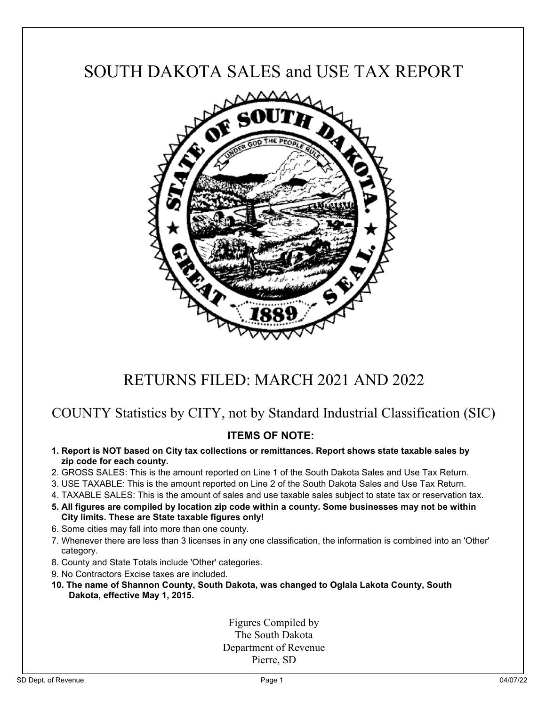# SOUTH DAKOTA SALES and USE TAX REPORT



## RETURNS FILED: MARCH 2021 AND 2022

### COUNTY Statistics by CITY, not by Standard Industrial Classification (SIC)

### **ITEMS OF NOTE:**

- **1. Report is NOT based on City tax collections or remittances. Report shows state taxable sales by zip code for each county.**
- 2. GROSS SALES: This is the amount reported on Line 1 of the South Dakota Sales and Use Tax Return.
- 3. USE TAXABLE: This is the amount reported on Line 2 of the South Dakota Sales and Use Tax Return.
- 4. TAXABLE SALES: This is the amount of sales and use taxable sales subject to state tax or reservation tax.
- **5. All figures are compiled by location zip code within a county. Some businesses may not be within City limits. These are State taxable figures only!**
- 6. Some cities may fall into more than one county.
- 7. Whenever there are less than 3 licenses in any one classification, the information is combined into an 'Other' category.
- 8. County and State Totals include 'Other' categories.
- 9. No Contractors Excise taxes are included.
- **10. The name of Shannon County, South Dakota, was changed to Oglala Lakota County, South Dakota, effective May 1, 2015.**

Figures Compiled by The South Dakota Department of Revenue Pierre, SD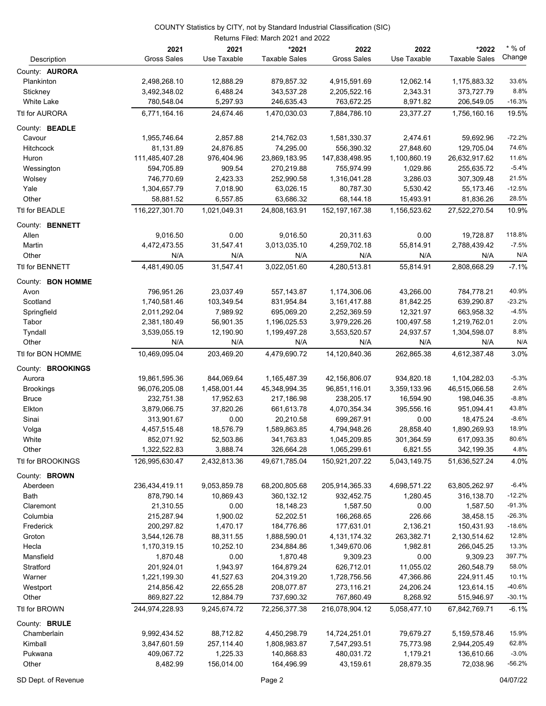|                             |                           |                  | Returns Filed: March 2021 and 2022 |                     |                  |                      |                    |
|-----------------------------|---------------------------|------------------|------------------------------------|---------------------|------------------|----------------------|--------------------|
|                             | 2021                      | 2021             | *2021                              | 2022                | 2022             | *2022                | $*$ % of<br>Change |
| Description                 | <b>Gross Sales</b>        | Use Taxable      | <b>Taxable Sales</b>               | <b>Gross Sales</b>  | Use Taxable      | <b>Taxable Sales</b> |                    |
| County: <b>AURORA</b>       |                           |                  |                                    |                     |                  |                      |                    |
| Plankinton                  | 2,498,268.10              | 12,888.29        | 879,857.32                         | 4,915,591.69        | 12,062.14        | 1,175,883.32         | 33.6%              |
| Stickney                    | 3,492,348.02              | 6,488.24         | 343,537.28                         | 2,205,522.16        | 2,343.31         | 373,727.79           | 8.8%               |
| White Lake                  | 780,548.04                | 5,297.93         | 246,635.43                         | 763,672.25          | 8,971.82         | 206,549.05           | $-16.3%$           |
| Ttl for AURORA              | 6,771,164.16              | 24,674.46        | 1,470,030.03                       | 7,884,786.10        | 23,377.27        | 1,756,160.16         | 19.5%              |
| County: BEADLE              |                           |                  |                                    |                     |                  |                      |                    |
| Cavour                      | 1,955,746.64              | 2,857.88         | 214,762.03                         | 1,581,330.37        | 2,474.61         | 59,692.96            | $-72.2%$           |
| <b>Hitchcock</b>            | 81,131.89                 | 24,876.85        | 74,295.00                          | 556,390.32          | 27,848.60        | 129,705.04           | 74.6%              |
| Huron                       | 111,485,407.28            | 976,404.96       | 23,869,183.95                      | 147,838,498.95      | 1,100,860.19     | 26,632,917.62        | 11.6%              |
| Wessington                  | 594,705.89                | 909.54           | 270,219.88                         | 755,974.99          | 1,029.86         | 255,635.72           | $-5.4%$            |
| Wolsey                      | 746,770.69                | 2,423.33         | 252,990.58                         | 1,316,041.28        | 3,286.03         | 307,309.48           | 21.5%<br>$-12.5%$  |
| Yale<br>Other               | 1,304,657.79<br>58,881.52 | 7,018.90         | 63,026.15<br>63,686.32             | 80,787.30           | 5,530.42         | 55,173.46            | 28.5%              |
|                             |                           | 6,557.85         |                                    | 68,144.18           | 15,493.91        | 81,836.26            |                    |
| Ttl for BEADLE              | 116,227,301.70            | 1,021,049.31     | 24,808,163.91                      | 152, 197, 167.38    | 1,156,523.62     | 27,522,270.54        | 10.9%              |
| County: BENNETT             |                           |                  |                                    |                     |                  |                      |                    |
| Allen                       | 9,016.50                  | 0.00             | 9,016.50                           | 20,311.63           | 0.00             | 19,728.87            | 118.8%             |
| Martin                      | 4,472,473.55              | 31,547.41        | 3,013,035.10                       | 4,259,702.18        | 55,814.91        | 2,788,439.42         | $-7.5%$            |
| Other                       | N/A                       | N/A              | N/A                                | N/A                 | N/A              | N/A                  | N/A                |
| Ttl for BENNETT             | 4,481,490.05              | 31,547.41        | 3,022,051.60                       | 4,280,513.81        | 55,814.91        | 2,808,668.29         | $-7.1%$            |
| County: BON HOMME           |                           |                  |                                    |                     |                  |                      |                    |
| Avon                        | 796,951.26                | 23,037.49        | 557,143.87                         | 1,174,306.06        | 43,266.00        | 784,778.21           | 40.9%              |
| Scotland                    | 1,740,581.46              | 103,349.54       | 831,954.84                         | 3,161,417.88        | 81,842.25        | 639,290.87           | $-23.2%$           |
| Springfield                 | 2,011,292.04              | 7,989.92         | 695,069.20                         | 2,252,369.59        | 12,321.97        | 663,958.32           | $-4.5%$            |
| Tabor                       | 2,381,180.49              | 56,901.35        | 1,196,025.53                       | 3,979,226.26        | 100,497.58       | 1,219,762.01         | 2.0%<br>8.8%       |
| Tyndall<br>Other            | 3,539,055.19<br>N/A       | 12,190.90<br>N/A | 1,199,497.28<br>N/A                | 3,553,520.57<br>N/A | 24,937.57<br>N/A | 1,304,598.07<br>N/A  | N/A                |
| Ttl for BON HOMME           | 10,469,095.04             | 203,469.20       | 4,479,690.72                       | 14,120,840.36       | 262,865.38       | 4,612,387.48         | 3.0%               |
|                             |                           |                  |                                    |                     |                  |                      |                    |
| County: BROOKINGS<br>Aurora | 19,861,595.36             | 844,069.64       | 1,165,487.39                       | 42,156,806.07       | 934,820.18       | 1,104,282.03         | $-5.3%$            |
| <b>Brookings</b>            | 96,076,205.08             | 1,458,001.44     | 45,348,994.35                      | 96,851,116.01       | 3,359,133.96     | 46,515,066.58        | 2.6%               |
| <b>Bruce</b>                | 232,751.38                | 17,952.63        | 217,186.98                         | 238,205.17          | 16,594.90        | 198,046.35           | $-8.8%$            |
| Elkton                      | 3,879,066.75              | 37,820.26        | 661,613.78                         | 4,070,354.34        | 395,556.16       | 951,094.41           | 43.8%              |
| Sinai                       | 313,901.67                | 0.00             | 20,210.58                          | 699,267.91          | 0.00             | 18,475.24            | $-8.6%$            |
| Volga                       | 4,457,515.48              | 18,576.79        | 1,589,863.85                       | 4,794,948.26        | 28,858.40        | 1,890,269.93         | 18.9%              |
| White                       | 852,071.92                | 52,503.86        | 341,763.83                         | 1,045,209.85        | 301,364.59       | 617,093.35           | 80.6%              |
| Other                       | 1,322,522.83              | 3,888.74         | 326,664.28                         | 1,065,299.61        | 6,821.55         | 342,199.35           | 4.8%               |
| Ttl for BROOKINGS           | 126,995,630.47            | 2,432,813.36     | 49,671,785.04                      | 150,921,207.22      | 5,043,149.75     | 51,636,527.24        | 4.0%               |
| County: <b>BROWN</b>        |                           |                  |                                    |                     |                  |                      |                    |
| Aberdeen                    | 236,434,419.11            | 9,053,859.78     | 68,200,805.68                      | 205,914,365.33      | 4,698,571.22     | 63,805,262.97        | $-6.4%$            |
| Bath                        | 878,790.14                | 10,869.43        | 360,132.12                         | 932,452.75          | 1,280.45         | 316,138.70           | $-12.2%$           |
| Claremont                   | 21,310.55                 | 0.00             | 18,148.23                          | 1,587.50            | 0.00             | 1,587.50             | $-91.3%$           |
| Columbia                    | 215,287.94                | 1,900.02         | 52,202.51                          | 166,268.65          | 226.66           | 38,458.15            | $-26.3%$           |
| Frederick                   | 200,297.82                | 1,470.17         | 184,776.86                         | 177,631.01          | 2,136.21         | 150,431.93           | $-18.6%$           |
| Groton                      | 3,544,126.78              | 88,311.55        | 1,888,590.01                       | 4, 131, 174. 32     | 263,382.71       | 2,130,514.62         | 12.8%              |
| Hecla                       | 1,170,319.15              | 10,252.10        | 234,884.86                         | 1,349,670.06        | 1,982.81         | 266,045.25           | 13.3%              |
| Mansfield                   | 1,870.48                  | 0.00             | 1,870.48                           | 9,309.23            | 0.00             | 9,309.23             | 397.7%             |
| Stratford                   | 201,924.01                | 1,943.97         | 164,879.24                         | 626,712.01          | 11,055.02        | 260,548.79           | 58.0%              |
| Warner                      | 1,221,199.30              | 41,527.63        | 204,319.20                         | 1,728,756.56        | 47,366.86        | 224,911.45           | 10.1%              |
| Westport                    | 214,856.42                | 22,655.28        | 208,077.87                         | 273,116.21          | 24,206.24        | 123,614.15           | $-40.6%$           |
| Other                       | 869,827.22                | 12,884.79        | 737,690.32                         | 767,860.49          | 8,268.92         | 515,946.97           | $-30.1%$           |
| Ttl for BROWN               | 244,974,228.93            | 9,245,674.72     | 72,256,377.38                      | 216,078,904.12      | 5,058,477.10     | 67,842,769.71        | $-6.1%$            |
| County: BRULE               |                           |                  |                                    |                     |                  |                      |                    |
| Chamberlain                 | 9,992,434.52              | 88,712.82        | 4,450,298.79                       | 14,724,251.01       | 79,679.27        | 5,159,578.46         | 15.9%              |
| Kimball                     | 3,847,601.59              | 257,114.40       | 1,808,983.87                       | 7,547,293.51        | 75,773.98        | 2,944,205.49         | 62.8%              |
| Pukwana                     | 409,067.72                | 1,225.33         | 140,868.83                         | 480,031.72          | 1,179.21         | 136,610.66           | $-3.0%$            |
| Other                       | 8,482.99                  | 156,014.00       | 164,496.99                         | 43,159.61           | 28,879.35        | 72,038.96            | $-56.2%$           |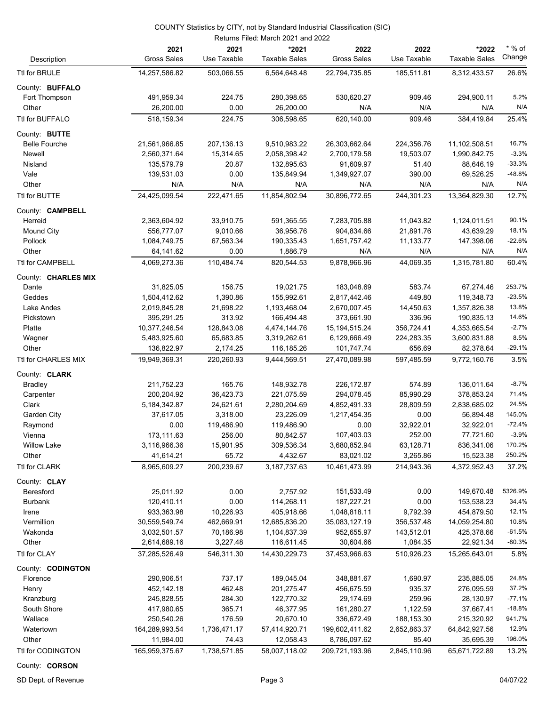|                         |                            | Returns Filed: March 2021 and 2022 |                               |                            |                     |                               |                    |  |
|-------------------------|----------------------------|------------------------------------|-------------------------------|----------------------------|---------------------|-------------------------------|--------------------|--|
| Description             | 2021<br><b>Gross Sales</b> | 2021<br>Use Taxable                | *2021<br><b>Taxable Sales</b> | 2022<br><b>Gross Sales</b> | 2022<br>Use Taxable | *2022<br><b>Taxable Sales</b> | $*$ % of<br>Change |  |
| Ttl for BRULE           | 14,257,586.82              | 503,066.55                         | 6,564,648.48                  | 22,794,735.85              | 185,511.81          | 8,312,433.57                  | 26.6%              |  |
| County: BUFFALO         |                            |                                    |                               |                            |                     |                               |                    |  |
| Fort Thompson           | 491,959.34                 | 224.75                             | 280,398.65                    | 530,620.27                 | 909.46              | 294,900.11                    | 5.2%               |  |
| Other                   | 26,200.00                  | 0.00                               | 26,200.00                     | N/A                        | N/A                 | N/A                           | N/A                |  |
| Ttl for BUFFALO         | 518,159.34                 | 224.75                             | 306,598.65                    | 620,140.00                 | 909.46              | 384,419.84                    | 25.4%              |  |
| County: BUTTE           |                            |                                    |                               |                            |                     |                               |                    |  |
| <b>Belle Fourche</b>    | 21,561,966.85              | 207,136.13                         | 9,510,983.22                  | 26,303,662.64              | 224,356.76          | 11,102,508.51                 | 16.7%              |  |
| Newell                  | 2,560,371.64               | 15,314.65                          | 2,058,398.42                  | 2,700,179.58               | 19,503.07           | 1,990,842.75                  | $-3.3%$            |  |
| Nisland                 | 135,579.79                 | 20.87                              | 132,895.63                    | 91,609.97                  | 51.40               | 88,646.19                     | $-33.3%$           |  |
| Vale                    | 139,531.03                 | 0.00                               | 135,849.94                    | 1,349,927.07               | 390.00              | 69,526.25                     | $-48.8%$           |  |
| Other                   | N/A                        | N/A                                | N/A                           | N/A                        | N/A                 | N/A                           | N/A                |  |
| Ttl for BUTTE           | 24,425,099.54              | 222,471.65                         | 11,854,802.94                 | 30,896,772.65              | 244,301.23          | 13,364,829.30                 | 12.7%              |  |
| County: <b>CAMPBELL</b> |                            |                                    |                               |                            |                     |                               |                    |  |
| Herreid                 | 2,363,604.92               | 33,910.75                          | 591,365.55                    | 7,283,705.88               | 11,043.82           | 1,124,011.51                  | 90.1%              |  |
| Mound City              | 556,777.07                 | 9,010.66                           | 36,956.76                     | 904,834.66                 | 21,891.76           | 43,639.29                     | 18.1%              |  |
| Pollock                 | 1,084,749.75               | 67,563.34                          | 190,335.43                    | 1,651,757.42               | 11,133.77           | 147,398.06                    | $-22.6%$           |  |
| Other                   | 64,141.62                  | 0.00                               | 1,886.79                      | N/A                        | N/A                 | N/A                           | N/A                |  |
| Ttl for CAMPBELL        | 4,069,273.36               | 110,484.74                         | 820.544.53                    | 9,878,966.96               | 44,069.35           | 1,315,781.80                  | 60.4%              |  |
| County: CHARLES MIX     |                            |                                    |                               |                            |                     |                               |                    |  |
| Dante                   | 31,825.05                  | 156.75                             | 19,021.75                     | 183,048.69                 | 583.74              | 67,274.46                     | 253.7%             |  |
| Geddes                  | 1,504,412.62               | 1,390.86                           | 155,992.61                    | 2,817,442.46               | 449.80              | 119,348.73                    | $-23.5%$           |  |
| Lake Andes              | 2,019,845.28               | 21,698.22                          | 1,193,468.04                  | 2,670,007.45               | 14,450.63           | 1,357,826.38                  | 13.8%              |  |
| Pickstown               | 395,291.25                 | 313.92                             | 166,494.48                    | 373,661.90                 | 336.96              | 190,835.13                    | 14.6%              |  |
| Platte                  | 10,377,246.54              | 128,843.08                         | 4,474,144.76                  | 15, 194, 515. 24           | 356,724.41          | 4,353,665.54                  | $-2.7%$            |  |
| Wagner                  | 5,483,925.60               | 65,683.85                          | 3,319,262.61                  | 6,129,666.49               | 224,283.35          | 3,600,831.88                  | 8.5%               |  |
| Other                   | 136,822.97                 | 2,174.25                           | 116,185.26                    | 101,747.74                 | 656.69              | 82,378.64                     | $-29.1%$           |  |
| Ttl for CHARLES MIX     | 19,949,369.31              | 220,260.93                         | 9,444,569.51                  | 27,470,089.98              | 597,485.59          | 9,772,160.76                  | 3.5%               |  |
| County: CLARK           |                            |                                    |                               |                            |                     |                               |                    |  |
| <b>Bradley</b>          | 211,752.23                 | 165.76                             | 148,932.78                    | 226,172.87                 | 574.89              | 136,011.64                    | $-8.7%$            |  |
| Carpenter               | 200,204.92                 | 36,423.73                          | 221,075.59                    | 294,078.45                 | 85,990.29           | 378,853.24                    | 71.4%              |  |
| Clark                   | 5, 184, 342.87             | 24,621.61                          | 2,280,204.69                  | 4,852,491.33               | 28,809.59           | 2,838,685.02                  | 24.5%              |  |
| Garden City             | 37,617.05                  | 3,318.00                           | 23,226.09                     | 1,217,454.35               | 0.00                | 56,894.48                     | 145.0%             |  |
| Raymond                 | 0.00                       | 119,486.90                         | 119,486.90                    | 0.00                       | 32,922.01           | 32,922.01                     | $-72.4%$           |  |
| Vienna                  | 173,111.63                 | 256.00                             | 80,842.57                     | 107,403.03                 | 252.00              | 77,721.60                     | $-3.9%$            |  |
| <b>Willow Lake</b>      | 3,116,966.36               | 15,901.95                          | 309,536.34                    | 3,680,852.94               | 63,128.71           | 836,341.06                    | 170.2%             |  |
| Other                   | 41,614.21                  | 65.72                              | 4,432.67                      | 83,021.02                  | 3,265.86            | 15,523.38                     | 250.2%             |  |
| Ttl for CLARK           | 8,965,609.27               | 200,239.67                         | 3,187,737.63                  | 10,461,473.99              | 214,943.36          | 4,372,952.43                  | 37.2%              |  |
| County: CLAY            |                            |                                    |                               |                            |                     |                               |                    |  |
| Beresford               | 25,011.92                  | 0.00                               | 2,757.92                      | 151,533.49                 | 0.00                | 149,670.48                    | 5326.9%            |  |
| <b>Burbank</b>          | 120,410.11                 | 0.00                               | 114,268.11                    | 187,227.21                 | 0.00                | 153,538.23                    | 34.4%              |  |
| Irene                   | 933,363.98                 | 10,226.93                          | 405,918.66                    | 1,048,818.11               | 9,792.39            | 454,879.50                    | 12.1%              |  |
| Vermillion              | 30,559,549.74              | 462,669.91                         | 12,685,836.20                 | 35,083,127.19              | 356,537.48          | 14,059,254.80                 | 10.8%              |  |
| Wakonda                 | 3,032,501.57               | 70,186.98                          | 1,104,837.39                  | 952,655.97                 | 143,512.01          | 425,378.66                    | $-61.5%$           |  |
| Other                   | 2,614,689.16               | 3,227.48                           | 116,611.45                    | 30,604.66                  | 1,084.35            | 22,921.34                     | $-80.3%$           |  |
| Ttl for CLAY            | 37,285,526.49              | 546,311.30                         | 14,430,229.73                 | 37,453,966.63              | 510,926.23          | 15,265,643.01                 | 5.8%               |  |
| County: CODINGTON       |                            |                                    |                               |                            |                     |                               |                    |  |
| Florence                | 290,906.51                 | 737.17                             | 189,045.04                    | 348,881.67                 | 1,690.97            | 235,885.05                    | 24.8%              |  |
| Henry                   | 452,142.18                 | 462.48                             | 201,275.47                    | 456,675.59                 | 935.37              | 276,095.59                    | 37.2%              |  |
| Kranzburg               | 245,828.55                 | 284.30                             | 122,770.32                    | 29,174.69                  | 259.96              | 28,130.97                     | $-77.1%$           |  |
| South Shore             | 417,980.65                 | 365.71                             | 46,377.95                     | 161,280.27                 | 1,122.59            | 37,667.41                     | $-18.8%$           |  |
| Wallace                 | 250,540.26                 | 176.59                             | 20,670.10                     | 336,672.49                 | 188,153.30          | 215,320.92                    | 941.7%             |  |
| Watertown               | 164,289,993.54             | 1,736,471.17                       | 57,414,920.71                 | 199,602,411.62             | 2,652,863.37        | 64,842,927.56                 | 12.9%              |  |
| Other                   | 11,984.00                  | 74.43                              | 12,058.43                     | 8,786,097.62               | 85.40               | 35,695.39                     | 196.0%             |  |
| Ttl for CODINGTON       | 165,959,375.67             | 1,738,571.85                       | 58,007,118.02                 | 209,721,193.96             | 2,845,110.96        | 65,671,722.89                 | 13.2%              |  |

County: **CORSON**

SD Dept. of Revenue **Page 3** 04/07/22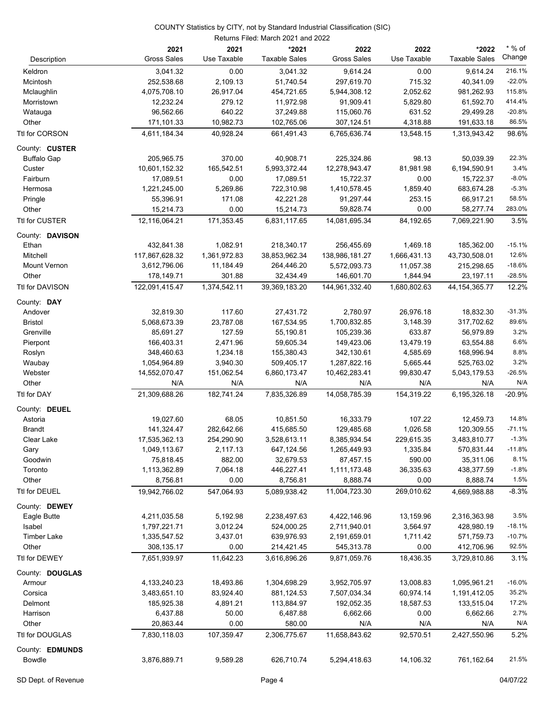#### Returns Filed: March 2021 and 2022 COUNTY Statistics by CITY, not by Standard Industrial Classification (SIC)

|                     | 2021<br><b>Gross Sales</b> | 2021<br>Use Taxable | *2021<br><b>Taxable Sales</b> | 2022<br><b>Gross Sales</b> | 2022<br>Use Taxable | *2022<br><b>Taxable Sales</b> | $*$ % of<br>Change |
|---------------------|----------------------------|---------------------|-------------------------------|----------------------------|---------------------|-------------------------------|--------------------|
| Description         |                            |                     |                               |                            |                     |                               |                    |
| Keldron             | 3,041.32                   | 0.00                | 3,041.32                      | 9,614.24                   | 0.00                | 9,614.24                      | 216.1%             |
| Mcintosh            | 252,538.68                 | 2,109.13            | 51,740.54                     | 297,619.70                 | 715.32              | 40,341.09                     | $-22.0%$           |
| Mclaughlin          | 4,075,708.10               | 26,917.04           | 454,721.65                    | 5,944,308.12               | 2,052.62            | 981,262.93                    | 115.8%<br>414.4%   |
| Morristown          | 12,232.24                  | 279.12<br>640.22    | 11,972.98                     | 91,909.41                  | 5,829.80<br>631.52  | 61,592.70                     | $-20.8%$           |
| Watauga<br>Other    | 96,562.66<br>171,101.33    | 10,982.73           | 37,249.88<br>102,765.06       | 115,060.76<br>307,124.51   | 4,318.88            | 29,499.28<br>191,633.18       | 86.5%              |
|                     | 4,611,184.34               | 40,928.24           | 661,491.43                    | 6,765,636.74               |                     |                               | 98.6%              |
| Ttl for CORSON      |                            |                     |                               |                            | 13,548.15           | 1,313,943.42                  |                    |
| County: CUSTER      |                            |                     |                               |                            |                     |                               |                    |
| <b>Buffalo Gap</b>  | 205,965.75                 | 370.00              | 40,908.71                     | 225,324.86                 | 98.13               | 50,039.39                     | 22.3%              |
| Custer              | 10,601,152.32              | 165,542.51          | 5,993,372.44                  | 12,278,943.47              | 81,981.98           | 6,194,590.91                  | 3.4%               |
| Fairburn            | 17,089.51                  | 0.00                | 17,089.51                     | 15,722.37                  | 0.00                | 15,722.37                     | $-8.0%$            |
| Hermosa             | 1,221,245.00               | 5,269.86            | 722,310.98                    | 1,410,578.45               | 1,859.40            | 683,674.28                    | $-5.3%$            |
| Pringle             | 55,396.91                  | 171.08              | 42,221.28                     | 91,297.44                  | 253.15              | 66,917.21                     | 58.5%              |
| Other               | 15,214.73                  | 0.00                | 15,214.73                     | 59,828.74                  | 0.00                | 58,277.74                     | 283.0%             |
| Ttl for CUSTER      | 12,116,064.21              | 171,353.45          | 6,831,117.65                  | 14,081,695.34              | 84,192.65           | 7,069,221.90                  | 3.5%               |
| County: DAVISON     |                            |                     |                               |                            |                     |                               |                    |
| Ethan               | 432,841.38                 | 1,082.91            | 218,340.17                    | 256,455.69                 | 1,469.18            | 185,362.00                    | $-15.1%$           |
| Mitchell            | 117,867,628.32             | 1,361,972.83        | 38,853,962.34                 | 138,986,181.27             | 1,666,431.13        | 43,730,508.01                 | 12.6%              |
| <b>Mount Vernon</b> | 3,612,796.06               | 11,184.49           | 264,446.20                    | 5,572,093.73               | 11,057.38           | 215,298.65                    | $-18.6%$           |
| Other               | 178,149.71                 | 301.88              | 32,434.49                     | 146,601.70                 | 1,844.94            | 23,197.11                     | $-28.5%$           |
| Ttl for DAVISON     | 122,091,415.47             | 1,374,542.11        | 39,369,183.20                 | 144,961,332.40             | 1,680,802.63        | 44, 154, 365. 77              | 12.2%              |
| County: DAY         |                            |                     |                               |                            |                     |                               |                    |
| Andover             | 32,819.30                  | 117.60              | 27,431.72                     | 2,780.97                   | 26,976.18           | 18,832.30                     | $-31.3%$           |
| <b>Bristol</b>      | 5,068,673.39               | 23,787.08           | 167,534.95                    | 1,700,832.85               | 3,148.39            | 317,702.62                    | 89.6%              |
| Grenville           | 85,691.27                  | 127.59              | 55,190.81                     | 105,239.36                 | 633.87              | 56,979.89                     | 3.2%               |
| Pierpont            | 166,403.31                 | 2,471.96            | 59,605.34                     | 149,423.06                 | 13,479.19           | 63,554.88                     | 6.6%               |
| Roslyn              | 348,460.63                 | 1,234.18            | 155,380.43                    | 342,130.61                 | 4,585.69            | 168,996.94                    | 8.8%               |
| Waubay              | 1,054,964.89               | 3,940.30            | 509,405.17                    | 1,287,822.16               | 5,665.44            | 525,763.02                    | 3.2%               |
| Webster             | 14,552,070.47              | 151,062.54          | 6,860,173.47                  | 10,462,283.41              | 99,830.47           | 5,043,179.53                  | $-26.5%$           |
| Other               | N/A                        | N/A                 | N/A                           | N/A                        | N/A                 | N/A                           | N/A                |
| Ttl for DAY         | 21,309,688.26              | 182,741.24          | 7,835,326.89                  | 14,058,785.39              | 154,319.22          | 6,195,326.18                  | $-20.9%$           |
| County: DEUEL       |                            |                     |                               |                            |                     |                               |                    |
| Astoria             | 19,027.60                  | 68.05               | 10,851.50                     | 16,333.79                  | 107.22              | 12,459.73                     | 14.8%              |
| <b>Brandt</b>       | 141,324.47                 | 282,642.66          | 415,685.50                    | 129,485.68                 | 1,026.58            | 120,309.55                    | $-71.1%$           |
| Clear Lake          | 17,535,362.13              | 254,290.90          | 3,528,613.11                  | 8,385,934.54               | 229,615.35          | 3,483,810.77                  | $-1.3%$            |
| Gary                | 1,049,113.67               | 2,117.13            | 647,124.56                    | 1,265,449.93               | 1,335.84            | 570,831.44                    | $-11.8%$           |
| Goodwin             | 75,818.45                  | 882.00              | 32,679.53                     | 87,457.15                  | 590.00              | 35,311.06                     | 8.1%               |
| Toronto             | 1,113,362.89               | 7,064.18            | 446,227.41                    | 1,111,173.48               | 36,335.63           | 438,377.59                    | $-1.8%$            |
| Other               | 8,756.81                   | 0.00                | 8,756.81                      | 8,888.74                   | 0.00                | 8,888.74                      | 1.5%               |
| Ttl for DEUEL       | 19,942,766.02              | 547,064.93          | 5,089,938.42                  | 11,004,723.30              | 269,010.62          | 4,669,988.88                  | $-8.3%$            |
| County: DEWEY       |                            |                     |                               |                            |                     |                               |                    |
| Eagle Butte         | 4,211,035.58               | 5,192.98            | 2,238,497.63                  | 4,422,146.96               | 13,159.96           | 2,316,363.98                  | 3.5%               |
| Isabel              | 1,797,221.71               | 3,012.24            | 524,000.25                    | 2,711,940.01               | 3,564.97            | 428,980.19                    | $-18.1%$           |
| <b>Timber Lake</b>  | 1,335,547.52               | 3,437.01            | 639,976.93                    | 2,191,659.01               | 1,711.42            | 571,759.73                    | $-10.7%$           |
| Other               | 308,135.17                 | 0.00                | 214,421.45                    | 545,313.78                 | 0.00                | 412,706.96                    | 92.5%              |
| Ttl for DEWEY       | 7,651,939.97               | 11,642.23           | 3,616,896.26                  | 9,871,059.76               | 18,436.35           | 3,729,810.86                  | 3.1%               |
| County: DOUGLAS     |                            |                     |                               |                            |                     |                               |                    |
| Armour              | 4,133,240.23               | 18,493.86           | 1,304,698.29                  | 3,952,705.97               | 13,008.83           | 1,095,961.21                  | $-16.0%$           |
| Corsica             | 3,483,651.10               | 83,924.40           | 881,124.53                    | 7,507,034.34               | 60,974.14           | 1,191,412.05                  | 35.2%              |
| Delmont             | 185,925.38                 | 4,891.21            | 113,884.97                    | 192,052.35                 | 18,587.53           | 133,515.04                    | 17.2%              |
| Harrison            | 6,437.88                   | 50.00               | 6,487.88                      | 6,662.66                   | 0.00                | 6,662.66                      | 2.7%               |
| Other               | 20,863.44                  | 0.00                | 580.00                        | N/A                        | N/A                 | N/A                           | N/A                |
| Ttl for DOUGLAS     | 7,830,118.03               | 107,359.47          | 2,306,775.67                  | 11,658,843.62              | 92,570.51           | 2,427,550.96                  | 5.2%               |
| County: EDMUNDS     |                            |                     |                               |                            |                     |                               |                    |
| Bowdle              | 3,876,889.71               | 9,589.28            | 626,710.74                    | 5,294,418.63               | 14,106.32           | 761,162.64                    | 21.5%              |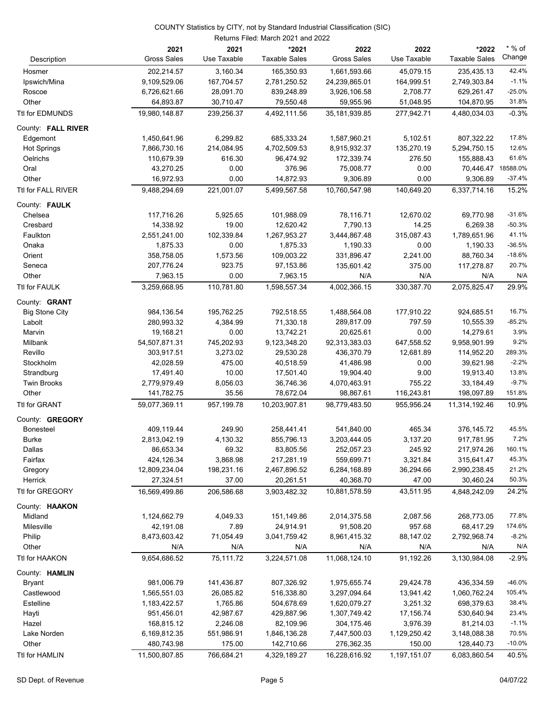#### Returns Filed: March 2021 and 2022 COUNTY Statistics by CITY, not by Standard Industrial Classification (SIC)

|                       | 2021               | 2021        | *2021                | 2022               | 2022         | *2022                | * % of   |
|-----------------------|--------------------|-------------|----------------------|--------------------|--------------|----------------------|----------|
| Description           | <b>Gross Sales</b> | Use Taxable | <b>Taxable Sales</b> | <b>Gross Sales</b> | Use Taxable  | <b>Taxable Sales</b> | Change   |
| Hosmer                | 202,214.57         | 3,160.34    | 165,350.93           | 1,661,593.66       | 45,079.15    | 235,435.13           | 42.4%    |
| Ipswich/Mina          | 9,109,529.06       | 167,704.57  | 2,781,250.52         | 24,239,865.01      | 164,999.51   | 2,749,303.84         | $-1.1%$  |
| Roscoe                | 6,726,621.66       | 28,091.70   | 839,248.89           | 3,926,106.58       | 2,708.77     | 629,261.47           | $-25.0%$ |
| Other                 | 64,893.87          | 30,710.47   | 79,550.48            | 59,955.96          | 51,048.95    | 104,870.95           | 31.8%    |
| Ttl for EDMUNDS       | 19,980,148.87      | 239,256.37  | 4,492,111.56         | 35,181,939.85      | 277,942.71   | 4,480,034.03         | $-0.3%$  |
| County: FALL RIVER    |                    |             |                      |                    |              |                      |          |
| Edgemont              | 1,450,641.96       | 6,299.82    | 685,333.24           | 1,587,960.21       | 5,102.51     | 807,322.22           | 17.8%    |
| <b>Hot Springs</b>    | 7,866,730.16       | 214,084.95  | 4,702,509.53         | 8,915,932.37       | 135,270.19   | 5,294,750.15         | 12.6%    |
| Oelrichs              | 110,679.39         | 616.30      | 96,474.92            | 172,339.74         | 276.50       | 155,888.43           | 61.6%    |
| Oral                  | 43,270.25          | 0.00        | 376.96               | 75,008.77          | 0.00         | 70,446.47 18588.0%   |          |
| Other                 | 16,972.93          | 0.00        | 14,872.93            | 9,306.89           | 0.00         | 9,306.89             | $-37.4%$ |
| Ttl for FALL RIVER    | 9,488,294.69       | 221,001.07  | 5,499,567.58         | 10,760,547.98      | 140,649.20   | 6,337,714.16         | 15.2%    |
| County: FAULK         |                    |             |                      |                    |              |                      |          |
| Chelsea               | 117,716.26         | 5,925.65    | 101,988.09           | 78,116.71          | 12,670.02    | 69,770.98            | $-31.6%$ |
| Cresbard              | 14,338.92          | 19.00       | 12,620.42            | 7,790.13           | 14.25        | 6,269.38             | $-50.3%$ |
| Faulkton              | 2,551,241.00       | 102,339.84  | 1,267,953.27         | 3,444,867.48       | 315,087.43   | 1,789,651.96         | 41.1%    |
| Onaka                 | 1,875.33           | 0.00        | 1,875.33             | 1,190.33           | 0.00         | 1,190.33             | $-36.5%$ |
| Orient                | 358,758.05         | 1,573.56    | 109,003.22           | 331,896.47         | 2,241.00     | 88,760.34            | $-18.6%$ |
| Seneca                | 207,776.24         | 923.75      | 97,153.86            | 135,601.42         | 375.00       | 117,278.87           | 20.7%    |
| Other                 | 7,963.15           | 0.00        | 7,963.15             | N/A                | N/A          | N/A                  | N/A      |
| Ttl for FAULK         | 3,259,668.95       | 110,781.80  | 1,598,557.34         | 4,002,366.15       | 330,387.70   | 2,075,825.47         | 29.9%    |
| County: <b>GRANT</b>  |                    |             |                      |                    |              |                      |          |
| <b>Big Stone City</b> | 984,136.54         | 195,762.25  | 792,518.55           | 1,488,564.08       | 177,910.22   | 924,685.51           | 16.7%    |
| Labolt                | 280,993.32         | 4,384.99    | 71,330.18            | 289,817.09         | 797.59       | 10,555.39            | $-85.2%$ |
| Marvin                | 19,168.21          | 0.00        | 13,742.21            | 20,625.61          | 0.00         | 14,279.61            | 3.9%     |
| Milbank               | 54,507,871.31      | 745,202.93  | 9,123,348.20         | 92,313,383.03      | 647,558.52   | 9,958,901.99         | 9.2%     |
| Revillo               | 303,917.51         | 3,273.02    | 29,530.28            | 436,370.79         | 12,681.89    | 114,952.20           | 289.3%   |
| Stockholm             | 42,028.59          | 475.00      | 40,518.59            | 41,486.98          | 0.00         | 39,621.98            | $-2.2%$  |
| Strandburg            | 17,491.40          | 10.00       | 17,501.40            | 19,904.40          | 9.00         | 19,913.40            | 13.8%    |
| <b>Twin Brooks</b>    | 2,779,979.49       | 8,056.03    | 36,746.36            | 4,070,463.91       | 755.22       | 33,184.49            | $-9.7%$  |
| Other                 | 141,782.75         | 35.56       | 78,672.04            | 98,867.61          | 116,243.81   | 198,097.89           | 151.8%   |
| Ttl for GRANT         | 59,077,369.11      | 957,199.78  | 10,203,907.81        | 98,779,483.50      | 955,956.24   | 11,314,192.46        | 10.9%    |
| County: GREGORY       |                    |             |                      |                    |              |                      |          |
| <b>Bonesteel</b>      | 409,119.44         | 249.90      | 258,441.41           | 541,840.00         | 465.34       | 376,145.72           | 45.5%    |
| Burke                 | 2,813,042.19       | 4,130.32    | 855,796.13           | 3,203,444.05       | 3,137.20     | 917,781.95           | 7.2%     |
| Dallas                | 86,653.34          | 69.32       | 83,805.56            | 252,057.23         | 245.92       | 217,974.26           | 160.1%   |
| Fairfax               | 424,126.34         | 3,868.98    | 217,281.19           | 559,699.71         | 3,321.84     | 315,641.47           | 45.3%    |
| Gregory               | 12,809,234.04      | 198,231.16  | 2,467,896.52         | 6,284,168.89       | 36,294.66    | 2,990,238.45         | 21.2%    |
| Herrick               | 27,324.51          | 37.00       | 20,261.51            | 40,368.70          | 47.00        | 30,460.24            | 50.3%    |
| Ttl for GREGORY       | 16,569,499.86      | 206,586.68  | 3,903,482.32         | 10,881,578.59      | 43,511.95    | 4,848,242.09         | 24.2%    |
| County: HAAKON        |                    |             |                      |                    |              |                      |          |
| Midland               | 1,124,662.79       | 4,049.33    | 151,149.86           | 2,014,375.58       | 2,087.56     | 268,773.05           | 77.8%    |
| Milesville            | 42,191.08          | 7.89        | 24,914.91            | 91,508.20          | 957.68       | 68,417.29            | 174.6%   |
| Philip                | 8,473,603.42       | 71,054.49   | 3,041,759.42         | 8,961,415.32       | 88,147.02    | 2,792,968.74         | $-8.2%$  |
| Other                 | N/A                | N/A         | N/A                  | N/A                | N/A          | N/A                  | N/A      |
| Ttl for HAAKON        | 9,654,686.52       | 75,111.72   | 3,224,571.08         | 11,068,124.10      | 91,192.26    | 3,130,984.08         | $-2.9%$  |
| County: HAMLIN        |                    |             |                      |                    |              |                      |          |
| <b>Bryant</b>         | 981,006.79         | 141,436.87  | 807,326.92           | 1,975,655.74       | 29,424.78    | 436,334.59           | $-46.0%$ |
| Castlewood            | 1,565,551.03       | 26,085.82   | 516,338.80           | 3,297,094.64       | 13,941.42    | 1,060,762.24         | 105.4%   |
| Estelline             | 1,183,422.57       | 1,765.86    | 504,678.69           | 1,620,079.27       | 3,251.32     | 698,379.63           | 38.4%    |
| Hayti                 | 951,456.01         | 42,987.67   | 429,887.96           | 1,307,749.42       | 17,156.74    | 530,640.94           | 23.4%    |
| Hazel                 | 168,815.12         | 2,246.08    | 82,109.96            | 304,175.46         | 3,976.39     | 81,214.03            | $-1.1%$  |
| Lake Norden           | 6,169,812.35       | 551,986.91  | 1,846,136.28         | 7,447,500.03       | 1,129,250.42 | 3,148,088.38         | 70.5%    |
| Other                 | 480,743.98         | 175.00      | 142,710.66           | 276,362.35         | 150.00       | 128,440.73           | $-10.0%$ |
| Ttl for HAMLIN        | 11,500,807.85      | 766,684.21  | 4,329,189.27         | 16,228,616.92      | 1,197,151.07 | 6,083,860.54         | 40.5%    |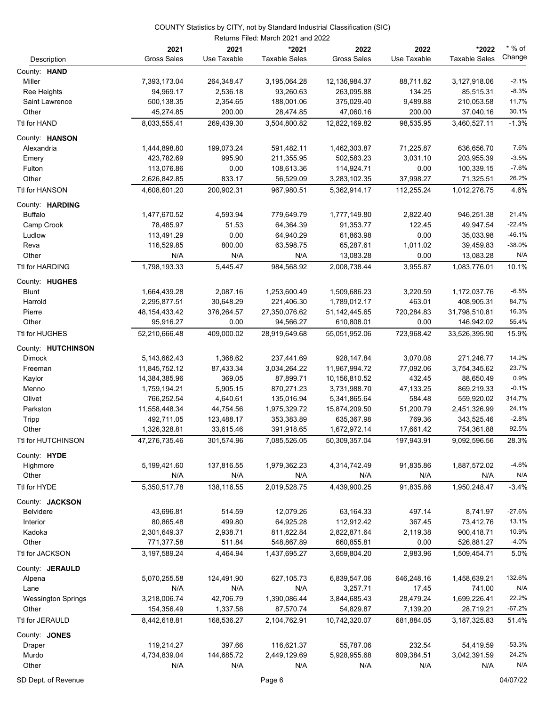|                           |                    |             | Returns Filed: March 2021 and 2022 |                    |             |                      |          |
|---------------------------|--------------------|-------------|------------------------------------|--------------------|-------------|----------------------|----------|
|                           | 2021               | 2021        | *2021                              | 2022               | 2022        | *2022                | $*$ % of |
| Description               | <b>Gross Sales</b> | Use Taxable | <b>Taxable Sales</b>               | <b>Gross Sales</b> | Use Taxable | <b>Taxable Sales</b> | Change   |
| County: HAND              |                    |             |                                    |                    |             |                      |          |
| Miller                    | 7,393,173.04       | 264,348.47  | 3,195,064.28                       | 12,136,984.37      | 88,711.82   | 3,127,918.06         | $-2.1%$  |
| Ree Heights               | 94,969.17          | 2,536.18    | 93,260.63                          | 263,095.88         | 134.25      | 85,515.31            | $-8.3%$  |
| Saint Lawrence            | 500,138.35         | 2,354.65    | 188,001.06                         | 375,029.40         | 9,489.88    | 210,053.58           | 11.7%    |
| Other                     | 45,274.85          | 200.00      | 28,474.85                          | 47,060.16          | 200.00      | 37,040.16            | 30.1%    |
|                           |                    |             | 3,504,800.82                       |                    |             |                      | $-1.3%$  |
| Ttl for HAND              | 8,033,555.41       | 269,439.30  |                                    | 12,822,169.82      | 98,535.95   | 3,460,527.11         |          |
| County: HANSON            |                    |             |                                    |                    |             |                      |          |
| Alexandria                | 1,444,898.80       | 199,073.24  | 591,482.11                         | 1,462,303.87       | 71,225.87   | 636,656.70           | 7.6%     |
| Emery                     | 423,782.69         | 995.90      | 211,355.95                         | 502,583.23         | 3,031.10    | 203,955.39           | $-3.5%$  |
| Fulton                    | 113,076.86         | 0.00        | 108,613.36                         | 114,924.71         | 0.00        | 100,339.15           | $-7.6%$  |
| Other                     | 2,626,842.85       | 833.17      | 56,529.09                          | 3,283,102.35       | 37,998.27   | 71,325.51            | 26.2%    |
| Ttl for HANSON            | 4,608,601.20       | 200,902.31  | 967,980.51                         | 5,362,914.17       | 112,255.24  | 1,012,276.75         | 4.6%     |
| County: HARDING           |                    |             |                                    |                    |             |                      |          |
| <b>Buffalo</b>            | 1,477,670.52       | 4,593.94    | 779,649.79                         | 1,777,149.80       | 2,822.40    | 946,251.38           | 21.4%    |
| Camp Crook                | 78,485.97          | 51.53       | 64,364.39                          | 91,353.77          | 122.45      | 49,947.54            | $-22.4%$ |
| Ludlow                    | 113,491.29         | 0.00        | 64,940.29                          | 61,863.98          | 0.00        | 35,033.98            | $-46.1%$ |
| Reva                      | 116,529.85         | 800.00      | 63,598.75                          | 65,287.61          | 1,011.02    | 39,459.83            | $-38.0%$ |
| Other                     | N/A                | N/A         | N/A                                | 13,083.28          | 0.00        | 13,083.28            | N/A      |
|                           |                    |             |                                    |                    |             |                      |          |
| Ttl for HARDING           | 1,798,193.33       | 5,445.47    | 984,568.92                         | 2,008,738.44       | 3,955.87    | 1,083,776.01         | 10.1%    |
| County: HUGHES            |                    |             |                                    |                    |             |                      |          |
| <b>Blunt</b>              | 1,664,439.28       | 2,087.16    | 1,253,600.49                       | 1,509,686.23       | 3,220.59    | 1,172,037.76         | $-6.5%$  |
| Harrold                   | 2,295,877.51       | 30,648.29   | 221,406.30                         | 1,789,012.17       | 463.01      | 408,905.31           | 84.7%    |
| Pierre                    | 48, 154, 433. 42   | 376,264.57  | 27,350,076.62                      | 51,142,445.65      | 720,284.83  | 31,798,510.81        | 16.3%    |
| Other                     | 95,916.27          | 0.00        | 94,566.27                          | 610,808.01         | 0.00        | 146,942.02           | 55.4%    |
| Ttl for HUGHES            | 52,210,666.48      | 409,000.02  | 28,919,649.68                      | 55,051,952.06      | 723,968.42  | 33,526,395.90        | 15.9%    |
| County: HUTCHINSON        |                    |             |                                    |                    |             |                      |          |
| <b>Dimock</b>             | 5,143,662.43       | 1,368.62    | 237,441.69                         | 928,147.84         | 3,070.08    | 271,246.77           | 14.2%    |
|                           | 11,845,752.12      | 87,433.34   | 3,034,264.22                       | 11,967,994.72      | 77,092.06   | 3,754,345.62         | 23.7%    |
| Freeman                   |                    | 369.05      | 87,899.71                          | 10,156,810.52      | 432.45      | 88,650.49            | 0.9%     |
| Kaylor                    | 14,384,385.96      |             |                                    |                    |             |                      | $-0.1%$  |
| Menno                     | 1,759,194.21       | 5,905.15    | 870,271.23                         | 3,731,988.70       | 47,133.25   | 869,219.33           | 314.7%   |
| Olivet                    | 766,252.54         | 4,640.61    | 135,016.94                         | 5,341,865.64       | 584.48      | 559,920.02           |          |
| Parkston                  | 11,558,448.34      | 44,754.56   | 1,975,329.72                       | 15,874,209.50      | 51,200.79   | 2,451,326.99         | 24.1%    |
| <b>Tripp</b>              | 492,711.05         | 123,488.17  | 353,383.89                         | 635,367.98         | 769.36      | 343,525.46           | $-2.8%$  |
| Other                     | 1,326,328.81       | 33,615.46   | 391,918.65                         | 1,672,972.14       | 17,661.42   | 754,361.88           | 92.5%    |
| Ttl for HUTCHINSON        | 47,276,735.46      | 301,574.96  | 7,085,526.05                       | 50,309,357.04      | 197,943.91  | 9,092,596.56         | 28.3%    |
| County: HYDE              |                    |             |                                    |                    |             |                      |          |
| Highmore                  | 5,199,421.60       | 137,816.55  | 1,979,362.23                       | 4,314,742.49       | 91,835.86   | 1,887,572.02         | $-4.6%$  |
| Other                     | N/A                | N/A         | N/A                                | N/A                | N/A         | N/A                  | N/A      |
| Ttl for HYDE              | 5,350,517.78       | 138,116.55  | 2,019,528.75                       | 4,439,900.25       | 91,835.86   | 1,950,248.47         | $-3.4%$  |
|                           |                    |             |                                    |                    |             |                      |          |
| County: JACKSON           |                    |             |                                    |                    |             |                      | $-27.6%$ |
| <b>Belvidere</b>          | 43,696.81          | 514.59      | 12,079.26                          | 63,164.33          | 497.14      | 8,741.97             | 13.1%    |
| Interior                  | 80,865.48          | 499.80      | 64,925.28                          | 112,912.42         | 367.45      | 73,412.76            | 10.9%    |
| Kadoka                    | 2,301,649.37       | 2,938.71    | 811,822.84                         | 2,822,871.64       | 2,119.38    | 900,418.71           |          |
| Other                     | 771,377.58         | 511.84      | 548,867.89                         | 660,855.81         | 0.00        | 526,881.27           | $-4.0%$  |
| Ttl for JACKSON           | 3,197,589.24       | 4,464.94    | 1,437,695.27                       | 3,659,804.20       | 2,983.96    | 1,509,454.71         | 5.0%     |
| County: JERAULD           |                    |             |                                    |                    |             |                      |          |
| Alpena                    | 5,070,255.58       | 124,491.90  | 627,105.73                         | 6,839,547.06       | 646,248.16  | 1,458,639.21         | 132.6%   |
| Lane                      | N/A                | N/A         | N/A                                | 3,257.71           | 17.45       | 741.00               | N/A      |
| <b>Wessington Springs</b> | 3,218,006.74       | 42,706.79   | 1,390,086.44                       | 3,844,685.43       | 28,479.24   | 1,699,226.41         | 22.2%    |
| Other                     | 154,356.49         | 1,337.58    | 87,570.74                          | 54,829.87          | 7,139.20    | 28,719.21            | $-67.2%$ |
| Ttl for JERAULD           | 8,442,618.81       | 168,536.27  | 2,104,762.91                       | 10,742,320.07      | 681,884.05  | 3, 187, 325.83       | 51.4%    |
|                           |                    |             |                                    |                    |             |                      |          |
| County: JONES             |                    |             |                                    |                    |             |                      |          |
| Draper                    | 119,214.27         | 397.66      | 116,621.37                         | 55,787.06          | 232.54      | 54,419.59            | $-53.3%$ |
| Murdo                     | 4,734,839.04       | 144,685.72  | 2,449,129.69                       | 5,928,955.68       | 609,384.51  | 3,042,391.59         | 24.2%    |
| Other                     | N/A                | N/A         | N/A                                | N/A                | N/A         | N/A                  | N/A      |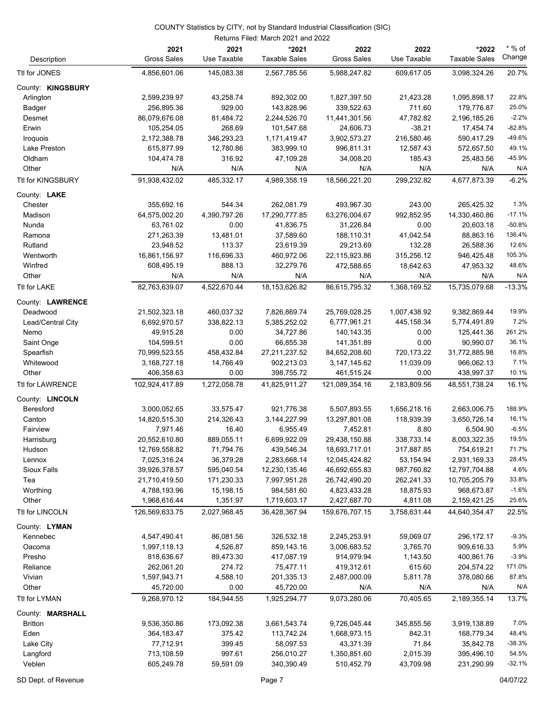|                     |                            |                     | Returns Filed: March 2021 and 2022 |                            |                     |                               |                    |
|---------------------|----------------------------|---------------------|------------------------------------|----------------------------|---------------------|-------------------------------|--------------------|
| Description         | 2021<br><b>Gross Sales</b> | 2021<br>Use Taxable | *2021<br><b>Taxable Sales</b>      | 2022<br><b>Gross Sales</b> | 2022<br>Use Taxable | *2022<br><b>Taxable Sales</b> | $*$ % of<br>Change |
| Ttl for JONES       | 4,856,601.06               | 145,083.38          | 2,567,785.56                       | 5,988,247.82               | 609,617.05          | 3,098,324.26                  | 20.7%              |
| County: KINGSBURY   |                            |                     |                                    |                            |                     |                               |                    |
| Arlington           | 2,599,239.97               | 43,258.74           | 892,302.00                         | 1,827,397.50               | 21,423.28           | 1,095,898.17                  | 22.8%              |
| Badger              | 256,895.36                 | 929.00              | 143,828.96                         | 339,522.63                 | 711.60              | 179,776.87                    | 25.0%              |
| Desmet              | 86,079,676.08              | 81,484.72           | 2,244,526.70                       | 11,441,301.56              | 47,782.82           | 2,196,185.26                  | $-2.2%$            |
| Erwin               | 105,254.05                 | 268.69              | 101,547.68                         | 24,606.73                  | $-38.21$            | 17,454.74                     | $-82.8%$           |
| Iroquois            | 2,172,388.78               | 346,293.23          | 1,171,419.47                       | 3,902,573.27               | 216,580.46          | 590,417.29                    | -49.6%             |
| Lake Preston        | 615,877.99                 | 12,780.86           | 383,999.10                         | 996,811.31                 | 12,587.43           | 572,657.50                    | 49.1%              |
| Oldham              | 104,474.78                 | 316.92              | 47,109.28                          | 34,008.20                  | 185.43              | 25,483.56                     | $-45.9%$           |
| Other               | N/A                        | N/A                 | N/A                                | N/A                        | N/A                 | N/A                           | N/A                |
| Ttl for KINGSBURY   | 91,938,432.02              | 485,332.17          | 4,989,358.19                       | 18,566,221.20              | 299,232.82          | 4,677,873.39                  | $-6.2%$            |
|                     |                            |                     |                                    |                            |                     |                               |                    |
| County: <b>LAKE</b> |                            |                     |                                    |                            |                     |                               |                    |
| Chester             | 355,692.16                 | 544.34              | 262,081.79                         | 493,967.30                 | 243.00              | 265,425.32                    | 1.3%               |
| Madison             | 64,575,002.20              | 4,390,797.26        | 17,290,777.85                      | 63,276,004.67              | 992,852.95          | 14,330,460.86                 | $-17.1%$           |
| Nunda               | 63,761.02                  | 0.00                | 41,836.75                          | 31,226.84                  | 0.00                | 20,603.18                     | $-50.8%$           |
| Ramona              | 271,263.39                 | 13,481.01           | 37,589.60                          | 188,110.31                 | 41,042.54           | 88,863.16                     | 136.4%             |
| Rutland             | 23,948.52                  | 113.37              | 23,619.39                          | 29,213.69                  | 132.28              | 26,588.36                     | 12.6%              |
| Wentworth           | 16,861,156.97              | 116,696.33          | 460,972.06                         | 22,115,923.86              | 315,256.12          | 946,425.48                    | 105.3%             |
| Winfred             | 608,495.19                 | 888.13              | 32,279.76                          | 472,588.65                 | 18,642.63           | 47,953.32                     | 48.6%              |
| Other               | N/A                        | N/A                 | N/A                                | N/A                        | N/A                 | N/A                           | N/A                |
| Ttl for LAKE        | 82,763,639.07              | 4,522,670.44        | 18, 153, 626.82                    | 86,615,795.32              | 1,368,169.52        | 15,735,079.68                 | $-13.3%$           |
| County: LAWRENCE    |                            |                     |                                    |                            |                     |                               |                    |
| Deadwood            | 21,502,323.18              | 460,037.32          | 7,826,869.74                       | 25,769,028.25              | 1,007,438.92        | 9,382,869.44                  | 19.9%              |
| Lead/Central City   | 6,692,970.57               | 338,822.13          | 5,385,252.02                       | 6,777,961.21               | 445,158.34          | 5,774,491.89                  | 7.2%               |
| Nemo                | 49,915.28                  | 0.00                | 34,727.86                          | 140,143.35                 | 0.00                | 125,441.36                    | 261.2%             |
| Saint Onge          | 104,599.51                 | 0.00                | 66,855.38                          | 141,351.89                 | 0.00                | 90,990.07                     | 36.1%              |
| Spearfish           | 70,999,523.55              | 458,432.84          | 27,211,237.52                      | 84,652,208.60              | 720,173.22          | 31,772,885.98                 | 16.8%              |
| Whitewood           | 3,168,727.18               | 14,766.49           | 902,213.03                         | 3, 147, 145.62             | 11,039.09           | 966,062.13                    | 7.1%               |
| Other               | 406,358.63                 | 0.00                | 398,755.72                         | 461,515.24                 | 0.00                | 438,997.37                    | 10.1%              |
| Ttl for LAWRENCE    | 102,924,417.89             | 1,272,058.78        | 41,825,911.27                      | 121,089,354.16             | 2,183,809.56        | 48,551,738.24                 | 16.1%              |
| County: LINCOLN     |                            |                     |                                    |                            |                     |                               |                    |
| Beresford           | 3,000,052.65               | 33,575.47           | 921,776.38                         | 5,507,893.55               | 1,656,218.16        | 2,663,006.75                  | 188.9%             |
| Canton              | 14,820,515.30              | 214,326.43          | 3,144,227.99                       | 13,297,801.08              | 118,939.39          | 3,650,726.14                  | 16.1%              |
| Fairview            | 7,971.46                   | 16.40               | 6,955.49                           | 7,452.81                   | 8.80                | 6,504.90                      | $-6.5%$            |
| Harrisburg          | 20,552,610.80              | 889,055.11          | 6,699,922.09                       | 29,438,150.88              | 338,733.14          | 8,003,322.35                  | 19.5%              |
| Hudson              | 12,769,558.82              | 71,794.76           | 439,546.34                         | 18,693,717.01              | 317,887.85          | 754,619.21                    | 71.7%              |
| Lennox              | 7,025,316.24               | 36,379.28           | 2,283,668.14                       | 12,045,424.82              | 53,154.94           | 2,931,169.33                  | 28.4%              |
| Sioux Falls         | 39,926,378.57              | 595,040.54          | 12,230,135.46                      | 46,692,655.83              | 987,760.82          | 12,797,704.88                 | 4.6%               |
| Tea                 | 21,710,419.50              | 171,230.33          | 7,997,951.28                       | 26,742,490.20              | 262,241.33          | 10,705,205.79                 | 33.8%              |
| Worthing            | 4,788,193.96               | 15,198.15           | 984,581.60                         | 4,823,433.28               | 18,875.93           | 968,673.87                    | $-1.6%$            |
| Other               | 1,968,616.44               | 1,351.97            | 1,719,603.17                       | 2,427,687.70               | 4,811.08            | 2,159,421.25                  | 25.6%              |
| Ttl for LINCOLN     | 126,569,633.75             | 2,027,968.45        | 36,428,367.94                      | 159,676,707.15             | 3,758,631.44        | 44,640,354.47                 | 22.5%              |
|                     |                            |                     |                                    |                            |                     |                               |                    |
| County: LYMAN       |                            |                     |                                    |                            |                     |                               | $-9.3%$            |
| Kennebec            | 4,547,490.41               | 86,081.56           | 326,532.18                         | 2,245,253.91               | 59,069.07           | 296,172.17                    | 5.9%               |
| Oacoma              | 1,997,118.13               | 4,526.87            | 859,143.16                         | 3,006,683.52               | 3,765.70            | 909,616.33                    |                    |
| Presho              | 818,636.67                 | 89,473.30           | 417,087.19                         | 914,979.94                 | 1,143.50            | 400,861.76                    | $-3.9%$            |
| Reliance            | 262,061.20                 | 274.72              | 75,477.11                          | 419,312.61                 | 615.60              | 204,574.22                    | 171.0%             |
| Vivian              | 1,597,943.71               | 4,588.10            | 201,335.13                         | 2,487,000.09               | 5,811.78            | 378,080.66                    | 87.8%              |
| Other               | 45,720.00                  | 0.00                | 45,720.00                          | N/A                        | N/A                 | N/A                           | N/A                |
| Ttl for LYMAN       | 9,268,970.12               | 184,944.55          | 1,925,294.77                       | 9,073,280.06               | 70,405.65           | 2,189,355.14                  | 13.7%              |
| County: MARSHALL    |                            |                     |                                    |                            |                     |                               |                    |
| <b>Britton</b>      | 9,536,350.86               | 173,092.38          | 3,661,543.74                       | 9,726,045.44               | 345,855.56          | 3,919,138.89                  | 7.0%               |
| Eden                | 364, 183.47                | 375.42              | 113,742.24                         | 1,668,973.15               | 842.31              | 168,779.34                    | 48.4%              |
| Lake City           | 77,712.91                  | 399.45              | 58,097.53                          | 43,371.39                  | 71.84               | 35,842.78                     | $-38.3%$           |
| Langford            | 713,108.59                 | 997.61              | 256,010.27                         | 1,350,851.60               | 2,015.39            | 395,496.10                    | 54.5%              |
| Veblen              | 605,249.78                 | 59,591.09           | 340,390.49                         | 510,452.79                 | 43,709.98           | 231,290.99                    | $-32.1%$           |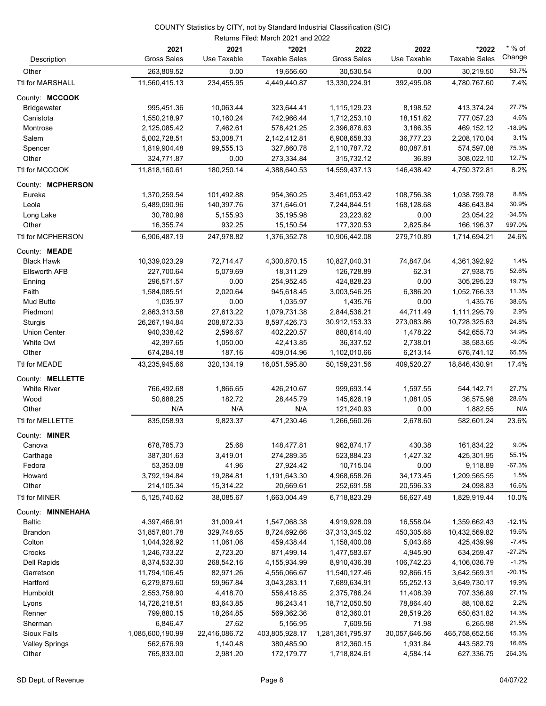|                       | Returns Filed: March 2021 and 2022 |                     |                               |                            |                     |                               |                    |
|-----------------------|------------------------------------|---------------------|-------------------------------|----------------------------|---------------------|-------------------------------|--------------------|
| Description           | 2021<br><b>Gross Sales</b>         | 2021<br>Use Taxable | *2021<br><b>Taxable Sales</b> | 2022<br><b>Gross Sales</b> | 2022<br>Use Taxable | *2022<br><b>Taxable Sales</b> | $*$ % of<br>Change |
| Other                 | 263,809.52                         | 0.00                | 19,656.60                     | 30,530.54                  | 0.00                | 30,219.50                     | 53.7%              |
| Ttl for MARSHALL      | 11,560,415.13                      | 234,455.95          | 4,449,440.87                  | 13,330,224.91              | 392,495.08          | 4,780,767.60                  | 7.4%               |
| County: MCCOOK        |                                    |                     |                               |                            |                     |                               |                    |
| <b>Bridgewater</b>    | 995,451.36                         | 10,063.44           | 323,644.41                    | 1,115,129.23               | 8,198.52            | 413,374.24                    | 27.7%              |
| Canistota             | 1,550,218.97                       | 10,160.24           | 742,966.44                    | 1,712,253.10               | 18,151.62           | 777,057.23                    | 4.6%               |
| Montrose              | 2,125,085.42                       | 7,462.61            | 578,421.25                    | 2,396,876.63               | 3,186.35            | 469,152.12                    | $-18.9%$           |
| Salem                 | 5,002,728.51                       | 53,008.71           | 2,142,412.81                  | 6,908,658.33               | 36,777.23           | 2,208,170.04                  | 3.1%               |
| Spencer               | 1,819,904.48                       | 99,555.13           | 327,860.78                    | 2,110,787.72               | 80,087.81           | 574,597.08                    | 75.3%              |
| Other                 | 324,771.87                         | 0.00                | 273,334.84                    | 315,732.12                 | 36.89               | 308,022.10                    | 12.7%              |
| Ttl for MCCOOK        | 11,818,160.61                      | 180,250.14          | 4,388,640.53                  | 14,559,437.13              | 146,438.42          | 4,750,372.81                  | 8.2%               |
| County: MCPHERSON     |                                    |                     |                               |                            |                     |                               |                    |
| Eureka                | 1,370,259.54                       | 101,492.88          | 954,360.25                    | 3,461,053.42               | 108,756.38          | 1,038,799.78                  | 8.8%               |
| Leola                 | 5,489,090.96                       | 140,397.76          | 371,646.01                    | 7,244,844.51               | 168,128.68          | 486,643.84                    | 30.9%              |
| Long Lake             | 30,780.96                          | 5,155.93            | 35,195.98                     | 23,223.62                  | 0.00                | 23,054.22                     | $-34.5%$           |
| Other                 | 16,355.74                          | 932.25              | 15,150.54                     | 177,320.53                 | 2,825.84            | 166,196.37                    | 997.0%             |
| Ttl for MCPHERSON     | 6,906,487.19                       | 247,978.82          | 1,376,352.78                  | 10,906,442.08              | 279,710.89          | 1,714,694.21                  | 24.6%              |
| County: <b>MEADE</b>  |                                    |                     |                               |                            |                     |                               |                    |
| <b>Black Hawk</b>     | 10,339,023.29                      | 72,714.47           | 4,300,870.15                  | 10,827,040.31              | 74,847.04           | 4,361,392.92                  | 1.4%               |
| <b>Ellsworth AFB</b>  | 227,700.64                         | 5,079.69            | 18,311.29                     | 126,728.89                 | 62.31               | 27,938.75                     | 52.6%              |
| Enning                | 296,571.57                         | 0.00                | 254,952.45                    | 424,828.23                 | 0.00                | 305,295.23                    | 19.7%              |
| Faith                 | 1,584,085.51                       | 2,020.64            | 945,618.45                    | 3,003,546.25               | 6,386.20            | 1,052,766.33                  | 11.3%              |
| Mud Butte             | 1,035.97                           | 0.00                | 1,035.97                      | 1,435.76                   | 0.00                | 1,435.76                      | 38.6%              |
| Piedmont              | 2,863,313.58                       | 27,613.22           | 1,079,731.38                  | 2,844,536.21               | 44,711.49           | 1,111,295.79                  | 2.9%               |
| Sturgis               | 26, 267, 194.84                    | 208,872.33          | 8,597,426.73                  | 30,912,153.33              | 273,083.86          | 10,728,325.63                 | 24.8%              |
| Union Center          | 940,338.42                         | 2,596.67            | 402,220.57                    | 880,614.40                 | 1,478.22            | 542,655.73                    | 34.9%              |
| White Owl             | 42,397.65                          | 1,050.00            | 42,413.85                     | 36,337.52                  | 2,738.01            | 38,583.65                     | $-9.0%$            |
| Other                 | 674,284.18                         | 187.16              | 409,014.96                    | 1,102,010.66               | 6,213.14            | 676,741.12                    | 65.5%              |
| Ttl for MEADE         | 43,235,945.66                      | 320, 134.19         | 16,051,595.80                 | 50,159,231.56              | 409,520.27          | 18,846,430.91                 | 17.4%              |
| County: MELLETTE      |                                    |                     |                               |                            |                     |                               |                    |
| <b>White River</b>    | 766,492.68                         | 1,866.65            | 426,210.67                    | 999,693.14                 | 1,597.55            | 544,142.71                    | 27.7%              |
| Wood                  | 50,688.25                          | 182.72              | 28,445.79                     | 145,626.19                 | 1,081.05            | 36,575.98                     | 28.6%              |
| Other                 | N/A                                | N/A                 | N/A                           | 121,240.93                 | 0.00                | 1,882.55                      | N/A                |
| Ttl for MELLETTE      | 835,058.93                         | 9,823.37            | 471,230.46                    | 1,266,560.26               | 2,678.60            | 582,601.24                    | 23.6%              |
| County: <b>MINER</b>  |                                    |                     |                               |                            |                     |                               |                    |
| Canova                | 678,785.73                         | 25.68               | 148,477.81                    | 962,874.17                 | 430.38              | 161,834.22                    | 9.0%               |
| Carthage              | 387,301.63                         | 3,419.01            | 274,289.35                    | 523,884.23                 | 1,427.32            | 425,301.95                    | 55.1%              |
| Fedora                | 53,353.08                          | 41.96               | 27,924.42                     | 10,715.04                  | 0.00                | 9,118.89                      | $-67.3%$           |
| Howard                | 3,792,194.84                       | 19,284.81           | 1,191,643.30                  | 4,968,658.26               | 34,173.45           | 1,209,565.55                  | 1.5%               |
| Other                 | 214,105.34                         | 15,314.22           | 20,669.61                     | 252,691.58                 | 20,596.33           | 24,098.83                     | 16.6%              |
| <b>Ttl for MINER</b>  | 5,125,740.62                       | 38,085.67           | 1,663,004.49                  | 6,718,823.29               | 56,627.48           | 1,829,919.44                  | 10.0%              |
| County: MINNEHAHA     |                                    |                     |                               |                            |                     |                               |                    |
| <b>Baltic</b>         | 4,397,466.91                       | 31,009.41           | 1,547,068.38                  | 4,919,928.09               | 16,558.04           | 1,359,662.43                  | $-12.1%$           |
| <b>Brandon</b>        | 31,857,801.78                      | 329,748.65          | 8,724,692.66                  | 37,313,345.02              | 450,305.68          | 10,432,569.82                 | 19.6%              |
| Colton                | 1,044,326.92                       | 11,061.06           | 459,438.44                    | 1,158,400.08               | 5,043.68            | 425,439.99                    | $-7.4%$            |
| Crooks                | 1,246,733.22                       | 2,723.20            | 871,499.14                    | 1,477,583.67               | 4,945.90            | 634,259.47                    | $-27.2%$           |
| Dell Rapids           | 8,374,532.30                       | 268,542.16          | 4,155,934.99                  | 8,910,436.38               | 106,742.23          | 4,106,036.79                  | $-1.2%$            |
| Garretson             | 11,794,106.45                      | 82,971.26           | 4,556,066.67                  | 11,540,127.46              | 92,866.15           | 3,642,569.31                  | $-20.1%$           |
| Hartford              | 6,279,879.60                       | 59,967.84           | 3,043,283.11                  | 7,689,634.91               | 55,252.13           | 3,649,730.17                  | 19.9%              |
| Humboldt              | 2,553,758.90                       | 4,418.70            | 556,418.85                    | 2,375,786.24               | 11,408.39           | 707,336.89                    | 27.1%              |
| Lyons                 | 14,726,218.51                      | 83,643.85           | 86,243.41                     | 18,712,050.50              | 78,864.40           | 88,108.62                     | 2.2%               |
| Renner                | 799,880.15                         | 18,264.85           | 569,362.36                    | 812,360.01                 | 28,519.26           | 650,631.82                    | 14.3%              |
| Sherman               | 6,846.47                           | 27.62               | 5,156.95                      | 7,609.56                   | 71.98               | 6,265.98                      | 21.5%              |
| Sioux Falls           | 1,085,600,190.99                   | 22,416,086.72       | 403,805,928.17                | 1,281,361,795.97           | 30,057,646.56       | 465,758,652.56                | 15.3%              |
| <b>Valley Springs</b> | 562,676.99                         | 1,140.48            | 380,485.90                    | 812,360.15                 | 1,931.84            | 443,582.79                    | 16.6%              |
| Other                 | 765,833.00                         | 2,981.20            | 172,179.77                    | 1,718,824.61               | 4,584.14            | 627,336.75                    | 264.3%             |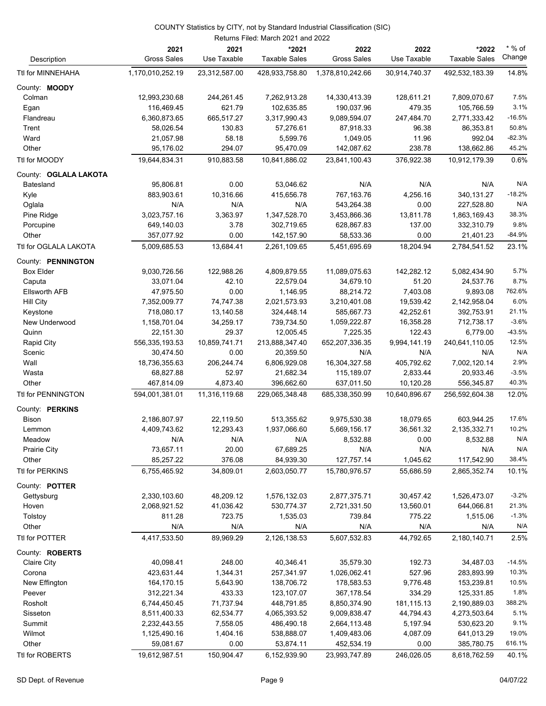|                       |                            |                     | Returns Filed: March 2021 and 2022 |                            |                     |                               |                    |
|-----------------------|----------------------------|---------------------|------------------------------------|----------------------------|---------------------|-------------------------------|--------------------|
| Description           | 2021<br><b>Gross Sales</b> | 2021<br>Use Taxable | *2021<br><b>Taxable Sales</b>      | 2022<br><b>Gross Sales</b> | 2022<br>Use Taxable | *2022<br><b>Taxable Sales</b> | $*$ % of<br>Change |
| Ttl for MINNEHAHA     | 1,170,010,252.19           | 23,312,587.00       | 428,933,758.80                     | 1,378,810,242.66           | 30,914,740.37       | 492,532,183.39                | 14.8%              |
| County: MOODY         |                            |                     |                                    |                            |                     |                               |                    |
| Colman                | 12,993,230.68              | 244,261.45          | 7,262,913.28                       | 14,330,413.39              | 128,611.21          | 7,809,070.67                  | 7.5%               |
| Egan                  | 116,469.45                 | 621.79              | 102,635.85                         | 190,037.96                 | 479.35              | 105,766.59                    | 3.1%               |
| Flandreau             | 6,360,873.65               | 665,517.27          | 3,317,990.43                       | 9,089,594.07               | 247,484.70          | 2,771,333.42                  | $-16.5%$           |
| Trent                 | 58,026.54                  | 130.83              | 57,276.61                          | 87,918.33                  | 96.38               | 86,353.81                     | 50.8%              |
| Ward                  | 21,057.98                  | 58.18               | 5,599.76                           | 1,049.05                   | 11.96               | 992.04                        | $-82.3%$           |
| Other                 | 95,176.02                  | 294.07              | 95,470.09                          | 142,087.62                 | 238.78              | 138,662.86                    | 45.2%              |
| Ttl for MOODY         | 19,644,834.31              | 910,883.58          | 10,841,886.02                      | 23,841,100.43              | 376,922.38          | 10,912,179.39                 | 0.6%               |
| County: OGLALA LAKOTA |                            |                     |                                    |                            |                     |                               |                    |
| Batesland             | 95,806.81                  | 0.00                | 53,046.62                          | N/A                        | N/A                 | N/A                           | N/A                |
| Kyle                  | 883,903.61                 | 10,316.66           | 415,656.78                         | 767,163.76                 | 4,256.16            | 340,131.27                    | $-18.2%$           |
| Oglala                | N/A                        | N/A                 | N/A                                | 543,264.38                 | 0.00                | 227,528.80                    | N/A                |
| Pine Ridge            | 3,023,757.16               | 3,363.97            | 1,347,528.70                       | 3,453,866.36               | 13,811.78           | 1,863,169.43                  | 38.3%              |
| Porcupine             | 649,140.03                 | 3.78                | 302,719.65                         | 628,867.83                 | 137.00              | 332,310.79                    | 9.8%               |
| Other                 | 357,077.92                 | 0.00                | 142,157.90                         | 58,533.36                  | 0.00                | 21,401.23                     | $-84.9%$           |
| Ttl for OGLALA LAKOTA | 5,009,685.53               | 13,684.41           | 2,261,109.65                       | 5,451,695.69               | 18,204.94           | 2,784,541.52                  | 23.1%              |
| County: PENNINGTON    |                            |                     |                                    |                            |                     |                               |                    |
| <b>Box Elder</b>      | 9,030,726.56               | 122,988.26          | 4,809,879.55                       | 11,089,075.63              | 142,282.12          | 5,082,434.90                  | 5.7%               |
| Caputa                | 33,071.04                  | 42.10               | 22,579.04                          | 34,679.10                  | 51.20               | 24,537.76                     | 8.7%               |
| <b>Ellsworth AFB</b>  | 47,975.50                  | 0.00                | 1,146.95                           | 88,214.72                  | 7,403.08            | 9,893.08                      | 762.6%             |
| Hill City             | 7,352,009.77               | 74,747.38           | 2,021,573.93                       | 3,210,401.08               | 19,539.42           | 2,142,958.04                  | 6.0%               |
| Keystone              | 718,080.17                 | 13,140.58           | 324,448.14                         | 585,667.73                 | 42,252.61           | 392,753.91                    | 21.1%              |
| New Underwood         | 1,158,701.04               | 34,259.17           | 739,734.50                         | 1,059,222.87               | 16,358.28           | 712,738.17                    | $-3.6%$            |
| Quinn                 | 22,151.30                  | 29.37               | 12,005.45                          | 7,225.35                   | 122.43              | 6,779.00                      | $-43.5%$           |
| Rapid City            | 556,335,193.53             | 10,859,741.71       | 213,888,347.40                     | 652,207,336.35             | 9,994,141.19        | 240,641,110.05                | 12.5%              |
| Scenic                | 30,474.50                  | 0.00                | 20,359.50                          | N/A                        | N/A                 | N/A                           | N/A                |
| Wall                  | 18,736,355.63              | 206,244.74          | 6,806,929.08                       | 16,304,327.58              | 405,792.62          | 7,002,120.14                  | 2.9%               |
| Wasta                 | 68,827.88                  | 52.97               | 21,682.34                          | 115,189.07                 | 2,833.44            | 20,933.46                     | $-3.5%$            |
| Other                 | 467,814.09                 | 4,873.40            | 396,662.60                         | 637,011.50                 | 10,120.28           | 556,345.87                    | 40.3%              |
| Ttl for PENNINGTON    | 594,001,381.01             | 11,316,119.68       | 229,065,348.48                     | 685,338,350.99             | 10,640,896.67       | 256,592,604.38                | 12.0%              |
| County: PERKINS       |                            |                     |                                    |                            |                     |                               |                    |
| Bison                 | 2,186,807.97               | 22,119.50           | 513,355.62                         | 9,975,530.38               | 18,079.65           | 603,944.25                    | 17.6%              |
| Lemmon                | 4,409,743.62               | 12,293.43           | 1,937,066.60                       | 5,669,156.17               | 36,561.32           | 2,135,332.71                  | 10.2%              |
| Meadow                | N/A                        | N/A                 | N/A                                | 8,532.88                   | 0.00                | 8,532.88                      | N/A                |
| Prairie City          | 73,657.11                  | 20.00               | 67,689.25                          | N/A                        | N/A                 | N/A                           | N/A                |
| Other                 | 85,257.22                  | 376.08              | 84,939.30                          | 127,757.14                 | 1,045.62            | 117,542.90                    | 38.4%              |
| Ttl for PERKINS       | 6,755,465.92               | 34,809.01           | 2,603,050.77                       | 15,780,976.57              | 55,686.59           | 2,865,352.74                  | 10.1%              |
| County: POTTER        |                            |                     |                                    |                            |                     |                               |                    |
| Gettysburg            | 2,330,103.60               | 48,209.12           | 1,576,132.03                       | 2,877,375.71               | 30,457.42           | 1,526,473.07                  | $-3.2%$            |
| Hoven                 | 2,068,921.52               | 41,036.42           | 530,774.37                         | 2,721,331.50               | 13,560.01           | 644,066.81                    | 21.3%              |
| Tolstoy               | 811.28                     | 723.75              | 1,535.03                           | 739.84                     | 775.22              | 1,515.06                      | $-1.3%$            |
| Other                 | N/A                        | N/A                 | N/A                                | N/A                        | N/A                 | N/A                           | N/A                |
| Ttl for POTTER        | 4,417,533.50               | 89,969.29           | 2,126,138.53                       | 5,607,532.83               | 44,792.65           | 2,180,140.71                  | 2.5%               |
| County: ROBERTS       |                            |                     |                                    |                            |                     |                               |                    |
| Claire City           | 40,098.41                  | 248.00              | 40,346.41                          | 35,579.30                  | 192.73              | 34,487.03                     | $-14.5%$           |
| Corona                | 423,631.44                 | 1,344.31            | 257,341.97                         | 1,026,062.41               | 527.96              | 283,893.99                    | 10.3%              |
| New Effington         | 164,170.15                 | 5,643.90            | 138,706.72                         | 178,583.53                 | 9,776.48            | 153,239.81                    | 10.5%              |
| Peever                | 312,221.34                 | 433.33              | 123,107.07                         | 367,178.54                 | 334.29              | 125,331.85                    | 1.8%               |
| Rosholt               | 6,744,450.45               | 71,737.94           | 448,791.85                         | 8,850,374.90               | 181,115.13          | 2,190,889.03                  | 388.2%             |
| Sisseton              | 8,511,400.33               | 62,534.77           | 4,065,393.52                       | 9,009,838.47               | 44,794.43           | 4,273,503.64                  | 5.1%               |
| Summit                | 2,232,443.55               | 7,558.05            | 486,490.18                         | 2,664,113.48               | 5,197.94            | 530,623.20                    | 9.1%               |
| Wilmot                | 1,125,490.16               | 1,404.16            | 538,888.07                         | 1,409,483.06               | 4,087.09            | 641,013.29                    | 19.0%              |
| Other                 | 59,081.67                  | 0.00                | 53,874.11                          | 452,534.19                 | 0.00                | 385,780.75                    | 616.1%             |
| Ttl for ROBERTS       | 19,612,987.51              | 150,904.47          | 6,152,939.90                       | 23,993,747.89              | 246,026.05          | 8,618,762.59                  | 40.1%              |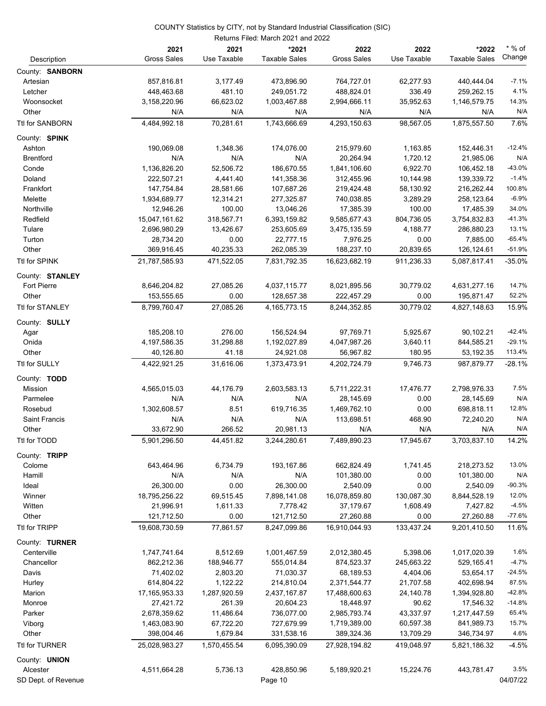|                        |                             |                     | Returns Filed: March 2021 and 2022 |                            |                     |                               |                    |
|------------------------|-----------------------------|---------------------|------------------------------------|----------------------------|---------------------|-------------------------------|--------------------|
| Description            | 2021<br><b>Gross Sales</b>  | 2021<br>Use Taxable | *2021<br><b>Taxable Sales</b>      | 2022<br><b>Gross Sales</b> | 2022<br>Use Taxable | *2022<br><b>Taxable Sales</b> | $*$ % of<br>Change |
| County: SANBORN        |                             |                     |                                    |                            |                     |                               |                    |
| Artesian               | 857,816.81                  | 3,177.49            | 473,896.90                         | 764,727.01                 | 62,277.93           | 440,444.04                    | $-7.1%$            |
| Letcher                | 448,463.68                  | 481.10              | 249,051.72                         | 488,824.01                 | 336.49              | 259,262.15                    | 4.1%               |
| Woonsocket             | 3,158,220.96                | 66,623.02           | 1,003,467.88                       | 2,994,666.11               | 35,952.63           | 1,146,579.75                  | 14.3%              |
| Other                  | N/A                         | N/A                 | N/A                                | N/A                        | N/A                 | N/A                           | N/A                |
| Ttl for SANBORN        | 4,484,992.18                | 70,281.61           | 1,743,666.69                       | 4,293,150.63               | 98,567.05           | 1,875,557.50                  | 7.6%               |
| County: SPINK          |                             |                     |                                    |                            |                     |                               |                    |
| Ashton                 | 190,069.08                  | 1,348.36            | 174,076.00                         | 215,979.60                 | 1,163.85            | 152,446.31                    | $-12.4%$           |
| <b>Brentford</b>       | N/A                         | N/A                 | N/A                                | 20,264.94                  | 1,720.12            | 21,985.06                     | N/A                |
| Conde                  | 1,136,826.20                | 52,506.72           | 186,670.55                         | 1,841,106.60               | 6,922.70            | 106,452.18                    | $-43.0%$           |
| Doland                 | 222,507.21                  | 4,441.40            | 141,358.36                         | 312,455.96                 | 10,144.98           | 139,339.72                    | $-1.4%$            |
| Frankfort              | 147,754.84                  | 28,581.66           | 107,687.26                         | 219,424.48                 | 58,130.92           | 216,262.44                    | 100.8%             |
| Melette                | 1,934,689.77                | 12,314.21           | 277,325.87                         | 740,038.85                 | 3,289.29            | 258,123.64                    | $-6.9%$            |
| Northville             | 12,946.26                   | 100.00              | 13,046.26                          | 17,385.39                  | 100.00              | 17,485.39                     | 34.0%              |
| Redfield               | 15,047,161.62               | 318,567.71          | 6,393,159.82                       | 9,585,677.43               | 804,736.05          | 3,754,832.83                  | $-41.3%$           |
| Tulare                 | 2,696,980.29                | 13,426.67           | 253,605.69                         | 3,475,135.59               | 4,188.77            | 286,880.23                    | 13.1%              |
| Turton                 | 28,734.20                   | 0.00                | 22,777.15                          | 7,976.25                   | 0.00                | 7,885.00                      | $-65.4%$           |
| Other                  | 369,916.45                  | 40,235.33           | 262,085.39                         | 188,237.10                 | 20,839.65           | 126,124.61                    | $-51.9%$           |
| Ttl for SPINK          | 21,787,585.93               | 471.522.05          | 7,831,792.35                       | 16,623,682.19              | 911,236.33          | 5,087,817.41                  | $-35.0%$           |
| County: STANLEY        |                             |                     |                                    |                            |                     |                               |                    |
| <b>Fort Pierre</b>     | 8,646,204.82                | 27,085.26           | 4,037,115.77                       | 8,021,895.56               | 30,779.02           | 4,631,277.16                  | 14.7%              |
| Other                  | 153,555.65                  | 0.00                | 128,657.38                         | 222,457.29                 | 0.00                | 195,871.47                    | 52.2%              |
| Ttl for STANLEY        | 8,799,760.47                | 27,085.26           | 4,165,773.15                       | 8,244,352.85               | 30,779.02           | 4,827,148.63                  | 15.9%              |
| County: SULLY          |                             |                     |                                    |                            |                     |                               |                    |
| Agar                   | 185,208.10                  | 276.00              | 156,524.94                         | 97,769.71                  | 5,925.67            | 90,102.21                     | $-42.4%$           |
| Onida                  | 4, 197, 586. 35             | 31,298.88           | 1,192,027.89                       | 4,047,987.26               | 3,640.11            | 844,585.21                    | $-29.1%$           |
| Other                  | 40,126.80                   | 41.18               | 24,921.08                          | 56,967.82                  | 180.95              | 53,192.35                     | 113.4%             |
| Ttl for SULLY          | 4,422,921.25                | 31,616.06           | 1,373,473.91                       | 4,202,724.79               | 9,746.73            | 987,879.77                    | $-28.1%$           |
| County: TODD           |                             |                     |                                    |                            |                     |                               |                    |
| Mission                | 4,565,015.03                | 44,176.79           | 2,603,583.13                       | 5,711,222.31               | 17,476.77           | 2,798,976.33                  | 7.5%               |
| Parmelee               | N/A                         | N/A                 | N/A                                | 28,145.69                  | 0.00                | 28,145.69                     | N/A                |
| Rosebud                | 1,302,608.57                | 8.51                | 619,716.35                         | 1,469,762.10               | 0.00                | 698,818.11                    | 12.8%              |
| Saint Francis          | N/A                         | N/A                 | N/A                                | 113,698.51                 | 468.90              | 72,240.20                     | N/A                |
| Other                  | 33,672.90                   | 266.52              | 20,981.13                          | N/A                        | N/A                 | N/A                           | N/A                |
| Ttl for TODD           | 5,901,296.50                | 44,451.82           | 3,244,280.61                       | 7,489,890.23               | 17,945.67           | 3,703,837.10                  | 14.2%              |
| County: TRIPP          |                             |                     |                                    |                            |                     |                               |                    |
| Colome                 | 643,464.96                  | 6,734.79            | 193,167.86                         | 662,824.49                 | 1,741.45            | 218,273.52                    | 13.0%              |
| Hamill                 | N/A                         | N/A                 | N/A                                | 101,380.00                 | 0.00                | 101,380.00                    | N/A                |
| Ideal                  | 26,300.00                   | 0.00                | 26,300.00                          | 2,540.09                   | 0.00                | 2,540.09                      | $-90.3%$           |
| Winner                 | 18,795,256.22               | 69,515.45           | 7,898,141.08                       | 16,078,859.80              | 130,087.30          | 8,844,528.19                  | 12.0%              |
| Witten                 | 21,996.91                   | 1,611.33            | 7,778.42                           | 37,179.67                  | 1,608.49            | 7,427.82                      | $-4.5%$            |
| Other<br>Ttl for TRIPP | 121,712.50<br>19,608,730.59 | 0.00<br>77,861.57   | 121,712.50<br>8,247,099.86         | 27,260.88<br>16,910,044.93 | 0.00<br>133,437.24  | 27,260.88<br>9,201,410.50     | $-77.6%$<br>11.6%  |
| County: TURNER         |                             |                     |                                    |                            |                     |                               |                    |
| Centerville            | 1,747,741.64                | 8,512.69            | 1,001,467.59                       | 2,012,380.45               | 5,398.06            | 1,017,020.39                  | 1.6%               |
| Chancellor             | 862,212.36                  | 188,946.77          | 555,014.84                         | 874,523.37                 | 245,663.22          | 529,165.41                    | $-4.7%$            |
| Davis                  | 71,402.02                   | 2,803.20            | 71,030.37                          | 68,189.53                  | 4,404.06            | 53,654.17                     | $-24.5%$           |
| Hurley                 | 614,804.22                  | 1,122.22            | 214,810.04                         | 2,371,544.77               | 21,707.58           | 402,698.94                    | 87.5%              |
| Marion                 | 17, 165, 953. 33            | 1,287,920.59        | 2,437,167.87                       | 17,488,600.63              | 24,140.78           | 1,394,928.80                  | $-42.8%$           |
| Monroe                 | 27,421.72                   | 261.39              | 20,604.23                          | 18,448.97                  | 90.62               | 17,546.32                     | $-14.8%$           |
| Parker                 | 2,678,359.62                | 11,486.64           | 736,077.00                         | 2,985,793.74               | 43,337.97           | 1,217,447.59                  | 65.4%              |
| Viborg                 | 1,463,083.90                | 67,722.20           | 727,679.99                         | 1,719,389.00               | 60,597.38           | 841,989.73                    | 15.7%              |
| Other                  | 398,004.46                  | 1,679.84            | 331,538.16                         | 389,324.36                 | 13,709.29           | 346,734.97                    | 4.6%               |
| Ttl for TURNER         | 25,028,983.27               | 1,570,455.54        | 6,095,390.09                       | 27,928,194.82              | 419,048.97          | 5,821,186.32                  | $-4.5%$            |
| County: UNION          |                             |                     |                                    |                            |                     |                               |                    |
| Alcester               | 4,511,664.28                | 5,736.13            | 428,850.96                         | 5,189,920.21               | 15,224.76           | 443,781.47                    | 3.5%               |
| SD Dept. of Revenue    |                             |                     | Page 10                            |                            |                     |                               | 04/07/22           |